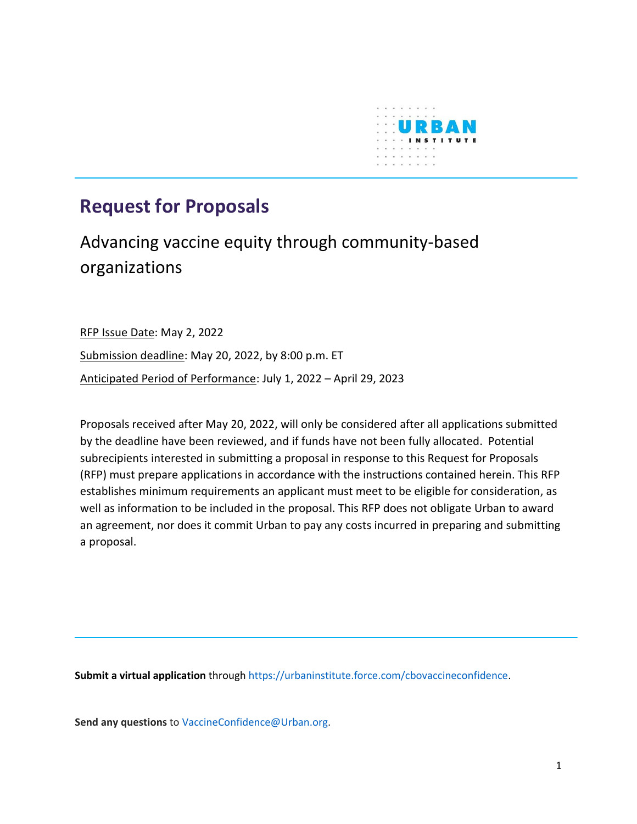

# **Request for Proposals**

# Advancing vaccine equity through community-based organizations

RFP Issue Date: May 2, 2022 Submission deadline: May 20, 2022, by 8:00 p.m. ET Anticipated Period of Performance: July 1, 2022 – April 29, 2023

Proposals received after May 20, 2022, will only be considered after all applications submitted by the deadline have been reviewed, and if funds have not been fully allocated. Potential subrecipients interested in submitting a proposal in response to this Request for Proposals (RFP) must prepare applications in accordance with the instructions contained herein. This RFP establishes minimum requirements an applicant must meet to be eligible for consideration, as well as information to be included in the proposal. This RFP does not obligate Urban to award an agreement, nor does it commit Urban to pay any costs incurred in preparing and submitting a proposal.

**Submit a virtual application** through [https://urbaninstitute.force.com/cbovaccineconfidence.](https://urbaninstitute.force.com/cbovaccineconfidence)

**Send any questions** to [VaccineConfidence@Urban.org.](mailto:VaccineConfidence@Urban.org)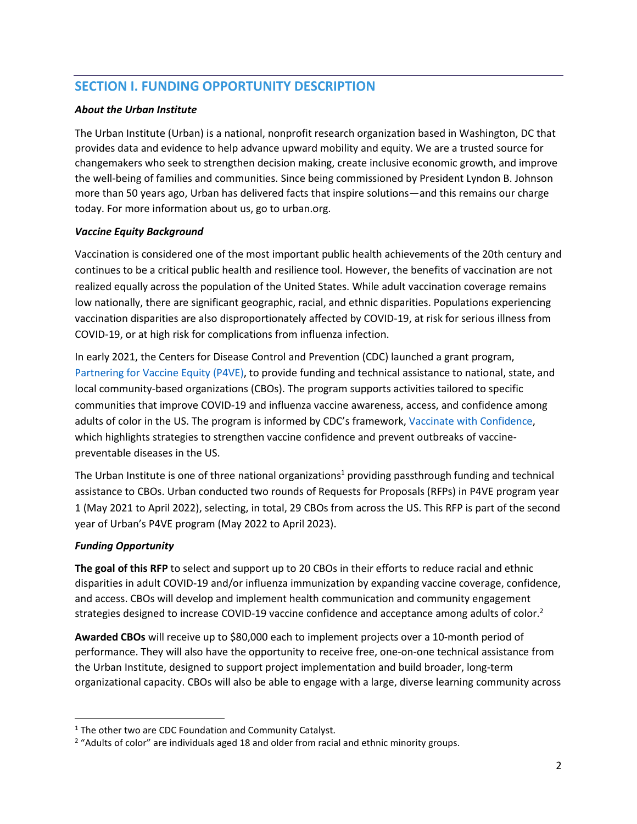# **SECTION I. FUNDING OPPORTUNITY DESCRIPTION**

#### *About the Urban Institute*

The Urban Institute (Urban) is a national, nonprofit research organization based in Washington, DC that provides data and evidence to help advance upward mobility and equity. We are a trusted source for changemakers who seek to strengthen decision making, create inclusive economic growth, and improve the well-being of families and communities. Since being commissioned by President Lyndon B. Johnson more than 50 years ago, Urban has delivered facts that inspire solutions—and this remains our charge today. For more information about us, go to urban.org.

#### *Vaccine Equity Background*

Vaccination is considered one of the most important public health achievements of the 20th century and continues to be a critical public health and resilience tool. However, the benefits of vaccination are not realized equally across the population of the United States. While adult vaccination coverage remains low nationally, there are significant geographic, racial, and ethnic disparities. Populations experiencing vaccination disparities are also disproportionately affected by COVID-19, at risk for serious illness from COVID-19, or at high risk for complications from influenza infection.

In early 2021, the Centers for Disease Control and Prevention (CDC) launched a grant program, [Partnering](https://www.cdc.gov/vaccines/health-equity/index.html) for Vaccine Equity (P4VE), to provide funding and technical assistance to national, state, and local community-based organizations (CBOs). The program supports activities tailored to specific communities that improve COVID-19 and influenza vaccine awareness, access, and confidence among adults of color in the US. The program is informed by CDC's framework, Vaccinate with [Confidence,](https://www.cdc.gov/vaccines/partners/vaccinate-with-confidence.html) which highlights strategies to strengthen vaccine confidence and prevent outbreaks of vaccinepreventable diseases in the US.

The Urban Institute is one of three national organizations<sup>1</sup> providing passthrough funding and technical assistance to CBOs. Urban conducted two rounds of Requests for Proposals (RFPs) in P4VE program year 1 (May 2021 to April 2022), selecting, in total, 29 CBOs from across the US. This RFP is part of the second year of Urban's P4VE program (May 2022 to April 2023).

#### *Funding Opportunity*

**The goal of this RFP** to select and support up to 20 CBOs in their efforts to reduce racial and ethnic disparities in adult COVID-19 and/or influenza immunization by expanding vaccine coverage, confidence, and access. CBOs will develop and implement health communication and community engagement strategies designed to increase COVID-19 vaccine confidence and acceptance among adults of color.<sup>2</sup>

**Awarded CBOs** will receive up to \$80,000 each to implement projects over a 10-month period of performance. They will also have the opportunity to receive free, one-on-one technical assistance from the Urban Institute, designed to support project implementation and build broader, long-term organizational capacity. CBOs will also be able to engage with a large, diverse learning community across

<sup>&</sup>lt;sup>1</sup> The other two are CDC Foundation and Community Catalyst.

 $2$  "Adults of color" are individuals aged 18 and older from racial and ethnic minority groups.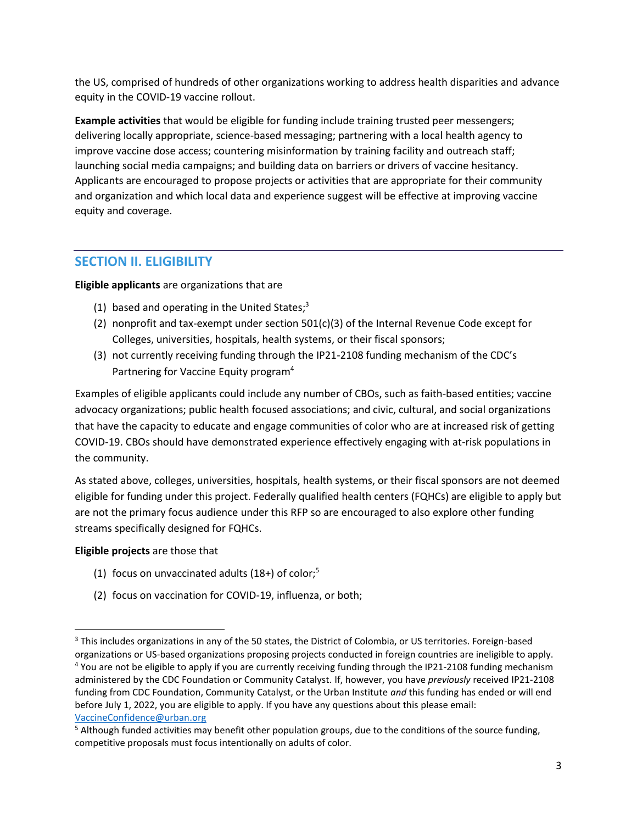the US, comprised of hundreds of other organizations working to address health disparities and advance equity in the COVID-19 vaccine rollout.

**Example activities** that would be eligible for funding include training trusted peer messengers; delivering locally appropriate, science-based messaging; partnering with a local health agency to improve vaccine dose access; countering misinformation by training facility and outreach staff; launching social media campaigns; and building data on barriers or drivers of vaccine hesitancy. Applicants are encouraged to propose projects or activities that are appropriate for their community and organization and which local data and experience suggest will be effective at improving vaccine equity and coverage.

## **SECTION II. ELIGIBILITY**

#### **Eligible applicants** are organizations that are

- (1) based and operating in the United States;<sup>3</sup>
- (2) nonprofit and tax-exempt under section 501(c)(3) of the Internal Revenue Code except for Colleges, universities, hospitals, health systems, or their fiscal sponsors;
- (3) not currently receiving funding through the IP21-2108 funding mechanism of the CDC's Partnering for Vaccine Equity program<sup>4</sup>

Examples of eligible applicants could include any number of CBOs, such as faith-based entities; vaccine advocacy organizations; public health focused associations; and civic, cultural, and social organizations that have the capacity to educate and engage communities of color who are at increased risk of getting COVID-19. CBOs should have demonstrated experience effectively engaging with at-risk populations in the community.

As stated above, colleges, universities, hospitals, health systems, or their fiscal sponsors are not deemed eligible for funding under this project. Federally qualified health centers (FQHCs) are eligible to apply but are not the primary focus audience under this RFP so are encouraged to also explore other funding streams specifically designed for FQHCs.

#### **Eligible projects** are those that

- (1) focus on unvaccinated adults  $(18+)$  of color;<sup>5</sup>
- (2) focus on vaccination for COVID-19, influenza, or both;

<sup>&</sup>lt;sup>3</sup> This includes organizations in any of the 50 states, the District of Colombia, or US territories. Foreign-based

organizations or US-based organizations proposing projects conducted in foreign countries are ineligible to apply. <sup>4</sup> You are not be eligible to apply if you are currently receiving funding through the IP21-2108 funding mechanism administered by the CDC Foundation or Community Catalyst. If, however, you have *previously* received IP21-2108 funding from CDC Foundation, Community Catalyst, or the Urban Institute *and* this funding has ended or will end before July 1, 2022, you are eligible to apply. If you have any questions about this please email: [VaccineConfidence@urban.org](mailto:VaccineConfidence@urban.org) 

 $<sup>5</sup>$  Although funded activities may benefit other population groups, due to the conditions of the source funding,</sup> competitive proposals must focus intentionally on adults of color.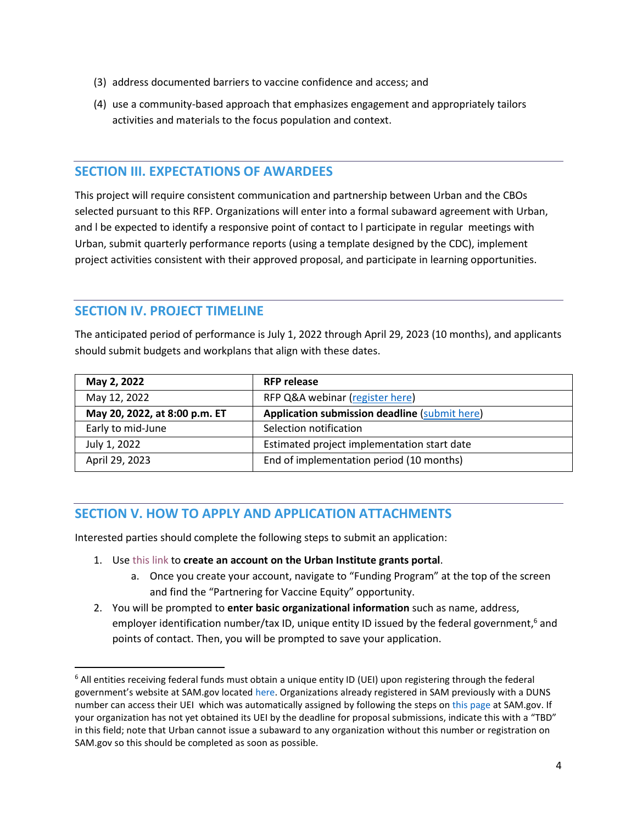- (3) address documented barriers to vaccine confidence and access; and
- (4) use a community-based approach that emphasizes engagement and appropriately tailors activities and materials to the focus population and context.

### **SECTION III. EXPECTATIONS OF AWARDEES**

This project will require consistent communication and partnership between Urban and the CBOs selected pursuant to this RFP. Organizations will enter into a formal subaward agreement with Urban, and l be expected to identify a responsive point of contact to l participate in regular meetings with Urban, submit quarterly performance reports (using a template designed by the CDC), implement project activities consistent with their approved proposal, and participate in learning opportunities.

## **SECTION IV. PROJECT TIMELINE**

The anticipated period of performance is July 1, 2022 through April 29, 2023 (10 months), and applicants should submit budgets and workplans that align with these dates.

| May 2, 2022                   | <b>RFP release</b>                                   |
|-------------------------------|------------------------------------------------------|
| May 12, 2022                  | RFP Q&A webinar (register here)                      |
| May 20, 2022, at 8:00 p.m. ET | <b>Application submission deadline (submit here)</b> |
| Early to mid-June             | Selection notification                               |
| July 1, 2022                  | Estimated project implementation start date          |
| April 29, 2023                | End of implementation period (10 months)             |

## **SECTION V. HOW TO APPLY AND APPLICATION ATTACHMENTS**

Interested parties should complete the following steps to submit an application:

- 1. Use [this](https://urbaninstitute.force.com/cbovaccineconfidence) link to **create an account on the Urban Institute grants portal**.
	- a. Once you create your account, navigate to "Funding Program" at the top of the screen and find the "Partnering for Vaccine Equity" opportunity.
- 2. You will be prompted to **enter basic organizational information** such as name, address, employer identification number/tax ID, unique entity ID issued by the federal government,<sup>6</sup> and points of contact. Then, you will be prompted to save your application.

<sup>&</sup>lt;sup>6</sup> All entities receiving federal funds must obtain a unique entity ID (UEI) upon registering through the federal government's website at SAM.gov located [here.](https://sam.gov/) Organizations already registered in SAM previously with a DUNS number can access their UEI which was automatically assigned by following the steps on [this page](https://www.fsd.gov/gsafsd_sp?id=kb_article_view&sysparm_article=KB0041254&sys_kb_id=875189f21bee8d54937fa64ce54bcbaa&spa=1) at SAM.gov. If your organization has not yet obtained its UEI by the deadline for proposal submissions, indicate this with a "TBD" in this field; note that Urban cannot issue a subaward to any organization without this number or registration on SAM.gov so this should be completed as soon as possible.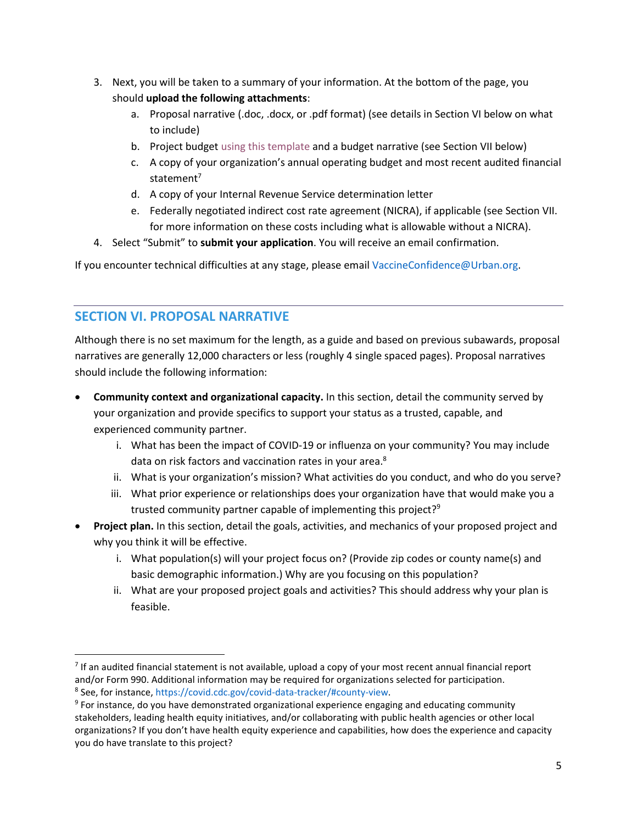- 3. Next, you will be taken to a summary of your information. At the bottom of the page, you should **upload the following attachments**:
	- a. Proposal narrative (.doc, .docx, or .pdf format) (see details in Section VI below on what to include)
	- b. Project budget using this [template](https://urbanorg.box.com/s/uijvgwiv2pihp5fv90fg3q1m3qs269t1) and a budget narrative (see Section VII below)
	- c. A copy of your organization's annual operating budget and most recent audited financial statement $7$
	- d. A copy of your Internal Revenue Service determination letter
	- e. Federally negotiated indirect cost rate agreement (NICRA), if applicable (see Section VII. for more information on these costs including what is allowable without a NICRA).
- 4. Select "Submit" to **submit your application**. You will receive an email confirmation.

If you encounter technical difficulties at any stage, please email [VaccineConfidence@Urban.org.](mailto:VaccineConfidence@Urban.org)

## **SECTION VI. PROPOSAL NARRATIVE**

Although there is no set maximum for the length, as a guide and based on previous subawards, proposal narratives are generally 12,000 characters or less (roughly 4 single spaced pages). Proposal narratives should include the following information:

- **Community context and organizational capacity.** In this section, detail the community served by your organization and provide specifics to support your status as a trusted, capable, and experienced community partner.
	- i. What has been the impact of COVID-19 or influenza on your community? You may include data on risk factors and vaccination rates in your area.<sup>8</sup>
	- ii. What is your organization's mission? What activities do you conduct, and who do you serve?
	- iii. What prior experience or relationships does your organization have that would make you a trusted community partner capable of implementing this project? $9^{\circ}$
- **Project plan.** In this section, detail the goals, activities, and mechanics of your proposed project and why you think it will be effective.
	- i. What population(s) will your project focus on? (Provide zip codes or county name(s) and basic demographic information.) Why are you focusing on this population?
	- ii. What are your proposed project goals and activities? This should address why your plan is feasible.

 $<sup>7</sup>$  If an audited financial statement is not available, upload a copy of your most recent annual financial report</sup> and/or Form 990. Additional information may be required for organizations selected for participation.

<sup>8</sup> See, for instance[, https://covid.cdc.gov/covid-data-tracker/#county-view.](https://covid.cdc.gov/covid-data-tracker/#county-view)

<sup>&</sup>lt;sup>9</sup> For instance, do you have demonstrated organizational experience engaging and educating community stakeholders, leading health equity initiatives, and/or collaborating with public health agencies or other local organizations? If you don't have health equity experience and capabilities, how does the experience and capacity you do have translate to this project?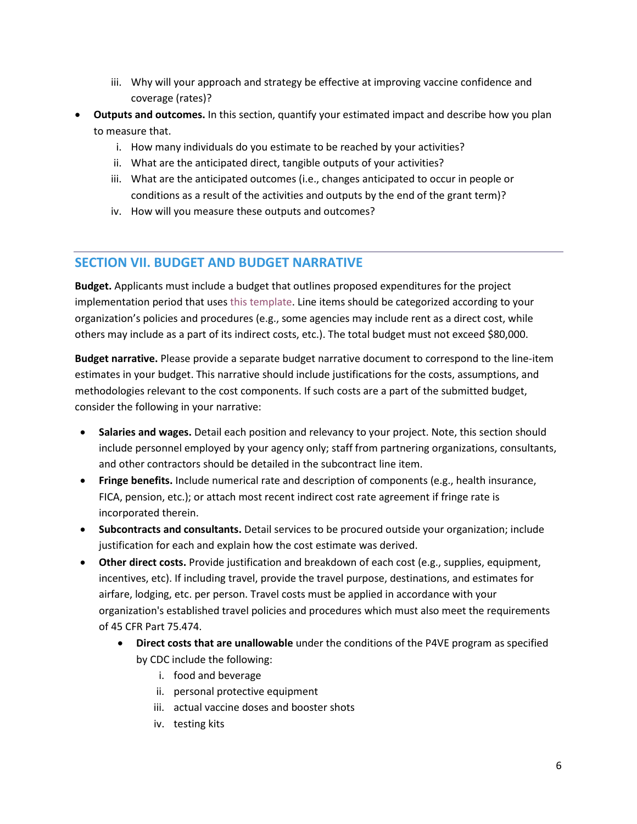- iii. Why will your approach and strategy be effective at improving vaccine confidence and coverage (rates)?
- **Outputs and outcomes.** In this section, quantify your estimated impact and describe how you plan to measure that.
	- i. How many individuals do you estimate to be reached by your activities?
	- ii. What are the anticipated direct, tangible outputs of your activities?
	- iii. What are the anticipated outcomes (i.e., changes anticipated to occur in people or conditions as a result of the activities and outputs by the end of the grant term)?
	- iv. How will you measure these outputs and outcomes?

# **SECTION VII. BUDGET AND BUDGET NARRATIVE**

**Budget.** Applicants must include a budget that outlines proposed expenditures for the project implementation period that uses [this template.](https://urbanorg.box.com/s/uijvgwiv2pihp5fv90fg3q1m3qs269t1) Line items should be categorized according to your organization's policies and procedures (e.g., some agencies may include rent as a direct cost, while others may include as a part of its indirect costs, etc.). The total budget must not exceed \$80,000.

**Budget narrative.** Please provide a separate budget narrative document to correspond to the line-item estimates in your budget. This narrative should include justifications for the costs, assumptions, and methodologies relevant to the cost components. If such costs are a part of the submitted budget, consider the following in your narrative:

- **Salaries and wages.** Detail each position and relevancy to your project. Note, this section should include personnel employed by your agency only; staff from partnering organizations, consultants, and other contractors should be detailed in the subcontract line item.
- **Fringe benefits.** Include numerical rate and description of components (e.g., health insurance, FICA, pension, etc.); or attach most recent indirect cost rate agreement if fringe rate is incorporated therein.
- **Subcontracts and consultants.** Detail services to be procured outside your organization; include justification for each and explain how the cost estimate was derived.
- **Other direct costs.** Provide justification and breakdown of each cost (e.g., supplies, equipment, incentives, etc). If including travel, provide the travel purpose, destinations, and estimates for airfare, lodging, etc. per person. Travel costs must be applied in accordance with your organization's established travel policies and procedures which must also meet the requirements of 45 CFR Part 75.474.
	- **Direct costs that are unallowable** under the conditions of the P4VE program as specified by CDC include the following:
		- i. food and beverage
		- ii. personal protective equipment
		- iii. actual vaccine doses and booster shots
		- iv. testing kits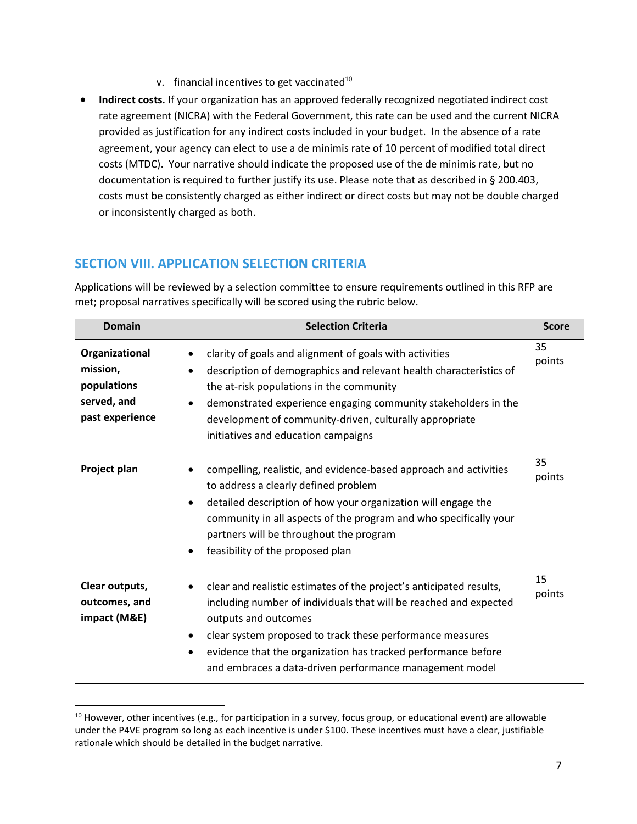- v. financial incentives to get vaccinated $10$
- **Indirect costs.** If your organization has an approved federally recognized negotiated indirect cost rate agreement (NICRA) with the Federal Government, this rate can be used and the current NICRA provided as justification for any indirect costs included in your budget. In the absence of a rate agreement, your agency can elect to use a de minimis rate of 10 percent of modified total direct costs (MTDC). Your narrative should indicate the proposed use of the de minimis rate, but no documentation is required to further justify its use. Please note that as described in § 200.403, costs must be consistently charged as either indirect or direct costs but may not be double charged or inconsistently charged as both.

## **SECTION VIII. APPLICATION SELECTION CRITERIA**

Applications will be reviewed by a selection committee to ensure requirements outlined in this RFP are met; proposal narratives specifically will be scored using the rubric below.

| <b>Domain</b>                                                               | <b>Selection Criteria</b>                                                                                                                                                                                                                                                                                                                                              | <b>Score</b> |
|-----------------------------------------------------------------------------|------------------------------------------------------------------------------------------------------------------------------------------------------------------------------------------------------------------------------------------------------------------------------------------------------------------------------------------------------------------------|--------------|
| Organizational<br>mission,<br>populations<br>served, and<br>past experience | clarity of goals and alignment of goals with activities<br>description of demographics and relevant health characteristics of<br>the at-risk populations in the community<br>demonstrated experience engaging community stakeholders in the<br>development of community-driven, culturally appropriate<br>initiatives and education campaigns                          | 35<br>points |
| Project plan                                                                | compelling, realistic, and evidence-based approach and activities<br>to address a clearly defined problem<br>detailed description of how your organization will engage the<br>community in all aspects of the program and who specifically your<br>partners will be throughout the program<br>feasibility of the proposed plan                                         | 35<br>points |
| Clear outputs,<br>outcomes, and<br>impact (M&E)                             | clear and realistic estimates of the project's anticipated results,<br>including number of individuals that will be reached and expected<br>outputs and outcomes<br>clear system proposed to track these performance measures<br>evidence that the organization has tracked performance before<br>$\bullet$<br>and embraces a data-driven performance management model | 15<br>points |

 $10$  However, other incentives (e.g., for participation in a survey, focus group, or educational event) are allowable under the P4VE program so long as each incentive is under \$100. These incentives must have a clear, justifiable rationale which should be detailed in the budget narrative.